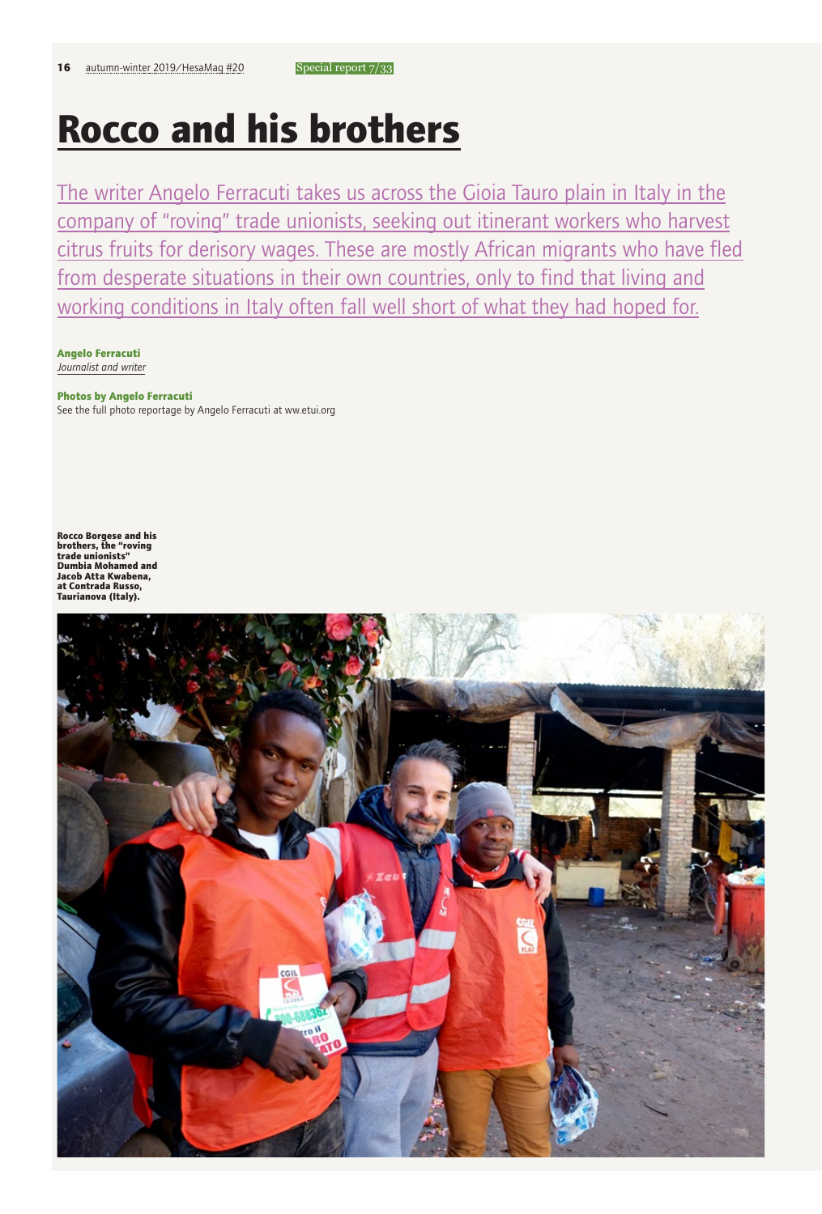# **Rocco and his brothers**

The writer Angelo Ferracuti takes us across the Gioia Tauro plain in Italy in the company of "roving" trade unionists, seeking out itinerant workers who harvest citrus fruits for derisory wages. These are mostly African migrants who have fled from desperate situations in their own countries, only to find that living and working conditions in Italy often fall well short of what they had hoped for.

**Angelo Ferracuti** *Journalist and writer*

### **Photos by Angelo Ferracuti**

See the full photo reportage by Angelo Ferracuti at ww.etui.org

**Rocco Borgese and his brothers, the "roving trade unionists" Dumbia Mohamed and Jacob Atta Kwabena, at Contrada Russo, Taurianova (Italy).**

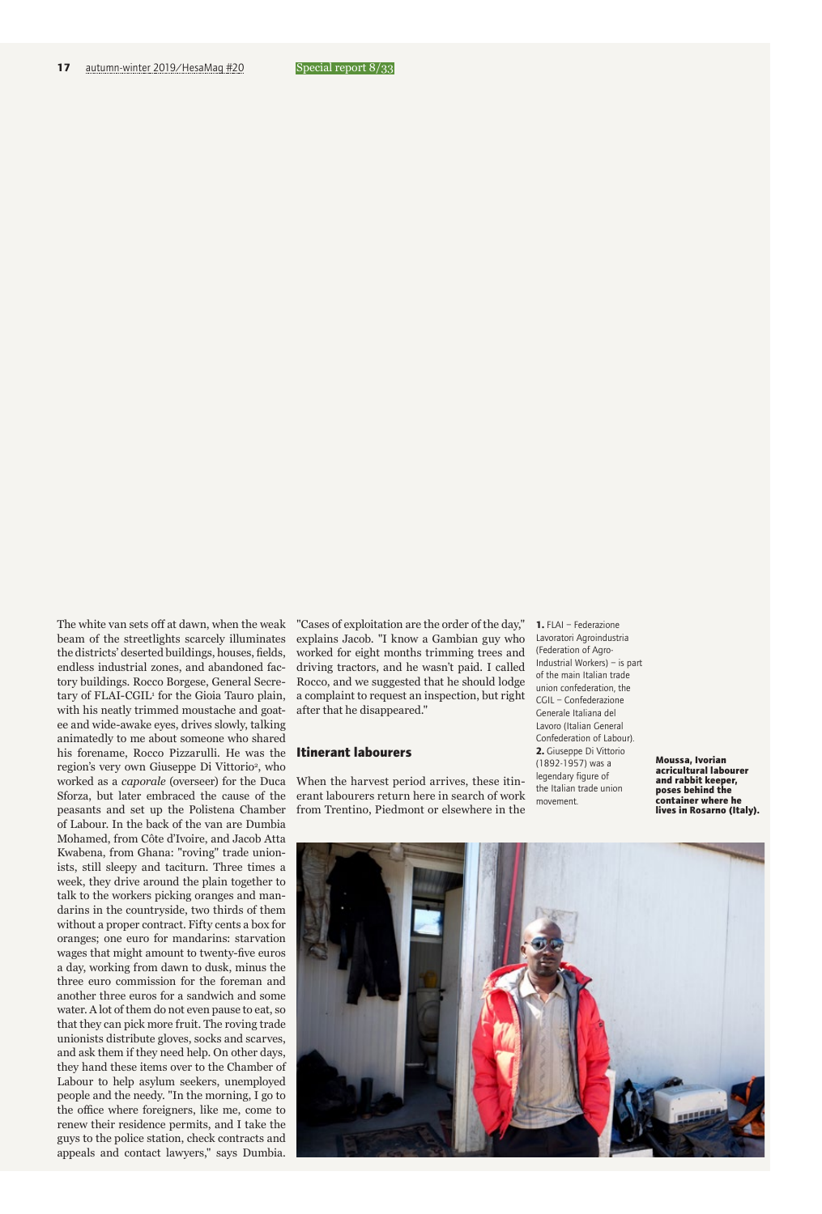The white van sets off at dawn, when the weak beam of the streetlights scarcely illuminates the districts' deserted buildings, houses, fields, endless industrial zones, and abandoned factory buildings. Rocco Borgese, General Secretary of FLAI-CGIL<sup>1</sup> for the Gioia Tauro plain, with his neatly trimmed moustache and goatee and wide-awake eyes, drives slowly, talking animatedly to me about someone who shared his forename, Rocco Pizzarulli. He was the region's very own Giuseppe Di Vittorio<sup>2</sup>, who worked as a *caporale* (overseer) for the Duca Sforza, but later embraced the cause of the peasants and set up the Polistena Chamber of Labour. In the back of the van are Dumbia Mohamed, from Côte d'Ivoire, and Jacob Atta Kwabena, from Ghana: "roving" trade unionists, still sleepy and taciturn. Three times a week, they drive around the plain together to talk to the workers picking oranges and mandarins in the countryside, two thirds of them without a proper contract. Fifty cents a box for oranges; one euro for mandarins: starvation wages that might amount to twenty-five euros a day, working from dawn to dusk, minus the three euro commission for the foreman and another three euros for a sandwich and some water. A lot of them do not even pause to eat, so that they can pick more fruit. The roving trade unionists distribute gloves, socks and scarves, and ask them if they need help. On other days, they hand these items over to the Chamber of Labour to help asylum seekers, unemployed people and the needy. "In the morning, I go to the office where foreigners, like me, come to renew their residence permits, and I take the guys to the police station, check contracts and appeals and contact lawyers," says Dumbia. "Cases of exploitation are the order of the day," explains Jacob. "I know a Gambian guy who worked for eight months trimming trees and driving tractors, and he wasn't paid. I called Rocco, and we suggested that he should lodge a complaint to request an inspection, but right after that he disappeared."

#### **Itinerant labourers**

When the harvest period arrives, these itinerant labourers return here in search of work from Trentino, Piedmont or elsewhere in the

**1.** FLAI – Federazione Lavoratori Agroindustria (Federation of Agro-Industrial Workers) – is part of the main Italian trade union confederation, the CGIL – Confederazione Generale Italiana del Lavoro (Italian General Confederation of Labour). **2.** Giuseppe Di Vittorio (1892-1957) was a legendary figure of the Italian trade union movement.

**Moussa, Ivorian acricultural labourer and rabbit keeper, poses behind the container where he lives in Rosarno (Italy).** 

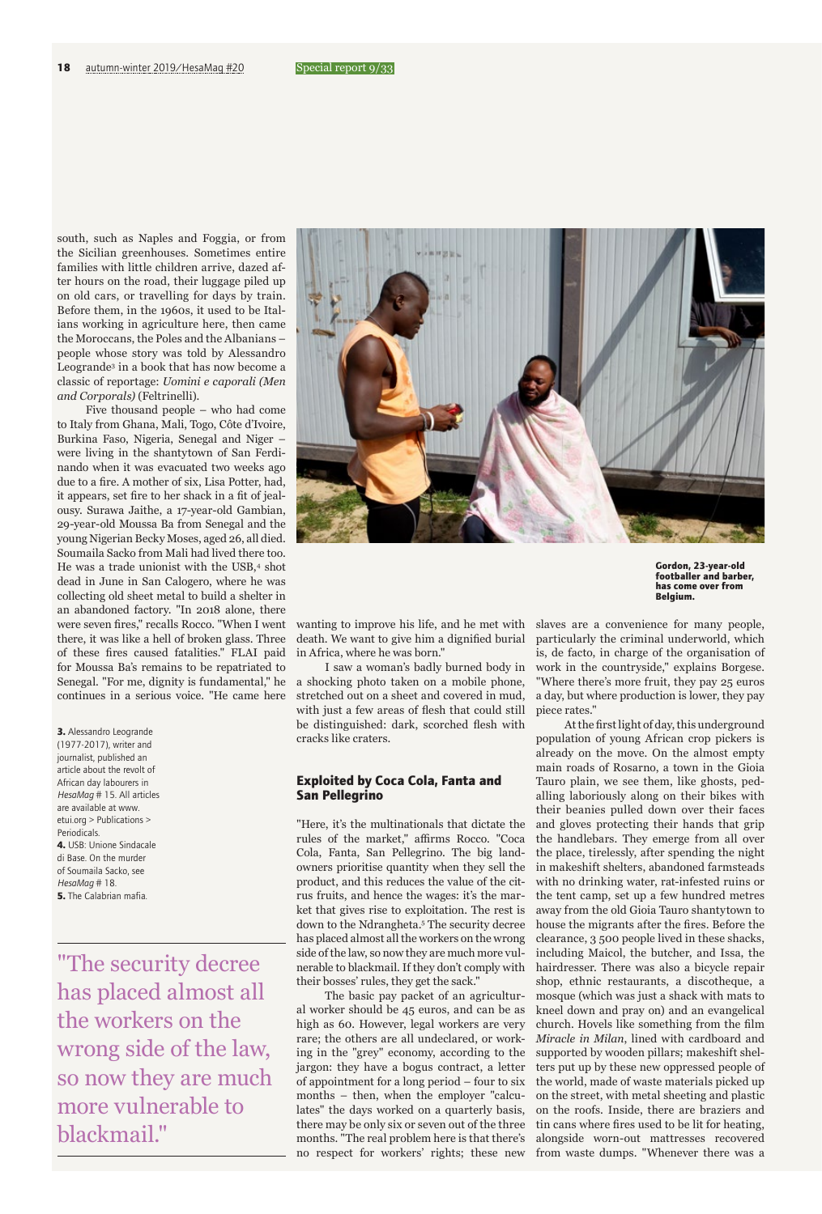south, such as Naples and Foggia, or from the Sicilian greenhouses. Sometimes entire families with little children arrive, dazed after hours on the road, their luggage piled up on old cars, or travelling for days by train. Before them, in the 1960s, it used to be Italians working in agriculture here, then came the Moroccans, the Poles and the Albanians – people whose story was told by Alessandro Leogrande<sup>3</sup> in a book that has now become a classic of reportage: *Uomini e caporali (Men and Corporals)* (Feltrinelli).

Five thousand people – who had come to Italy from Ghana, Mali, Togo, Côte d'Ivoire, Burkina Faso, Nigeria, Senegal and Niger – were living in the shantytown of San Ferdinando when it was evacuated two weeks ago due to a fire. A mother of six, Lisa Potter, had, it appears, set fire to her shack in a fit of jealousy. Surawa Jaithe, a 17-year-old Gambian, 29-year-old Moussa Ba from Senegal and the young Nigerian Becky Moses, aged 26, all died. Soumaila Sacko from Mali had lived there too. He was a trade unionist with the USB,<sup>4</sup> shot dead in June in San Calogero, where he was collecting old sheet metal to build a shelter in an abandoned factory. "In 2018 alone, there were seven fires," recalls Rocco. "When I went there, it was like a hell of broken glass. Three of these fires caused fatalities." FLAI paid for Moussa Ba's remains to be repatriated to Senegal. "For me, dignity is fundamental," he continues in a serious voice. "He came here

**3.** Alessandro Leogrande (1977-2017), writer and journalist, published an article about the revolt of African day labourers in *HesaMag* # 15. All articles are available at www. etui.org > Publications > Periodicals. **4.** USB: Unione Sindacale di Base. On the murder of Soumaila Sacko, see *HesaMag* # 18. **5.** The Calabrian mafia.

"The security decree has placed almost all the workers on the wrong side of the law, so now they are much more vulnerable to blackmail."



**Gordon, 23-year-old footballer and barber, has come over from Belgium.**

wanting to improve his life, and he met with death. We want to give him a dignified burial in Africa, where he was born."

I saw a woman's badly burned body in a shocking photo taken on a mobile phone, stretched out on a sheet and covered in mud, with just a few areas of flesh that could still be distinguished: dark, scorched flesh with cracks like craters.

# **Exploited by Coca Cola, Fanta and San Pellegrino**

"Here, it's the multinationals that dictate the rules of the market," affirms Rocco. "Coca Cola, Fanta, San Pellegrino. The big landowners prioritise quantity when they sell the product, and this reduces the value of the citrus fruits, and hence the wages: it's the market that gives rise to exploitation. The rest is down to the Ndrangheta.5 The security decree has placed almost all the workers on the wrong side of the law, so now they are much more vulnerable to blackmail. If they don't comply with their bosses' rules, they get the sack."

The basic pay packet of an agricultural worker should be 45 euros, and can be as high as 60. However, legal workers are very rare; the others are all undeclared, or working in the "grey" economy, according to the jargon: they have a bogus contract, a letter of appointment for a long period – four to six months – then, when the employer "calculates" the days worked on a quarterly basis, there may be only six or seven out of the three months. "The real problem here is that there's no respect for workers' rights; these new

slaves are a convenience for many people, particularly the criminal underworld, which is, de facto, in charge of the organisation of work in the countryside," explains Borgese. "Where there's more fruit, they pay 25 euros a day, but where production is lower, they pay piece rates."

At the first light of day, this underground population of young African crop pickers is already on the move. On the almost empty main roads of Rosarno, a town in the Gioia Tauro plain, we see them, like ghosts, pedalling laboriously along on their bikes with their beanies pulled down over their faces and gloves protecting their hands that grip the handlebars. They emerge from all over the place, tirelessly, after spending the night in makeshift shelters, abandoned farmsteads with no drinking water, rat-infested ruins or the tent camp, set up a few hundred metres away from the old Gioia Tauro shantytown to house the migrants after the fires. Before the clearance, 3 500 people lived in these shacks, including Maicol, the butcher, and Issa, the hairdresser. There was also a bicycle repair shop, ethnic restaurants, a discotheque, a mosque (which was just a shack with mats to kneel down and pray on) and an evangelical church. Hovels like something from the film *Miracle in Milan*, lined with cardboard and supported by wooden pillars; makeshift shelters put up by these new oppressed people of the world, made of waste materials picked up on the street, with metal sheeting and plastic on the roofs. Inside, there are braziers and tin cans where fires used to be lit for heating, alongside worn-out mattresses recovered from waste dumps. "Whenever there was a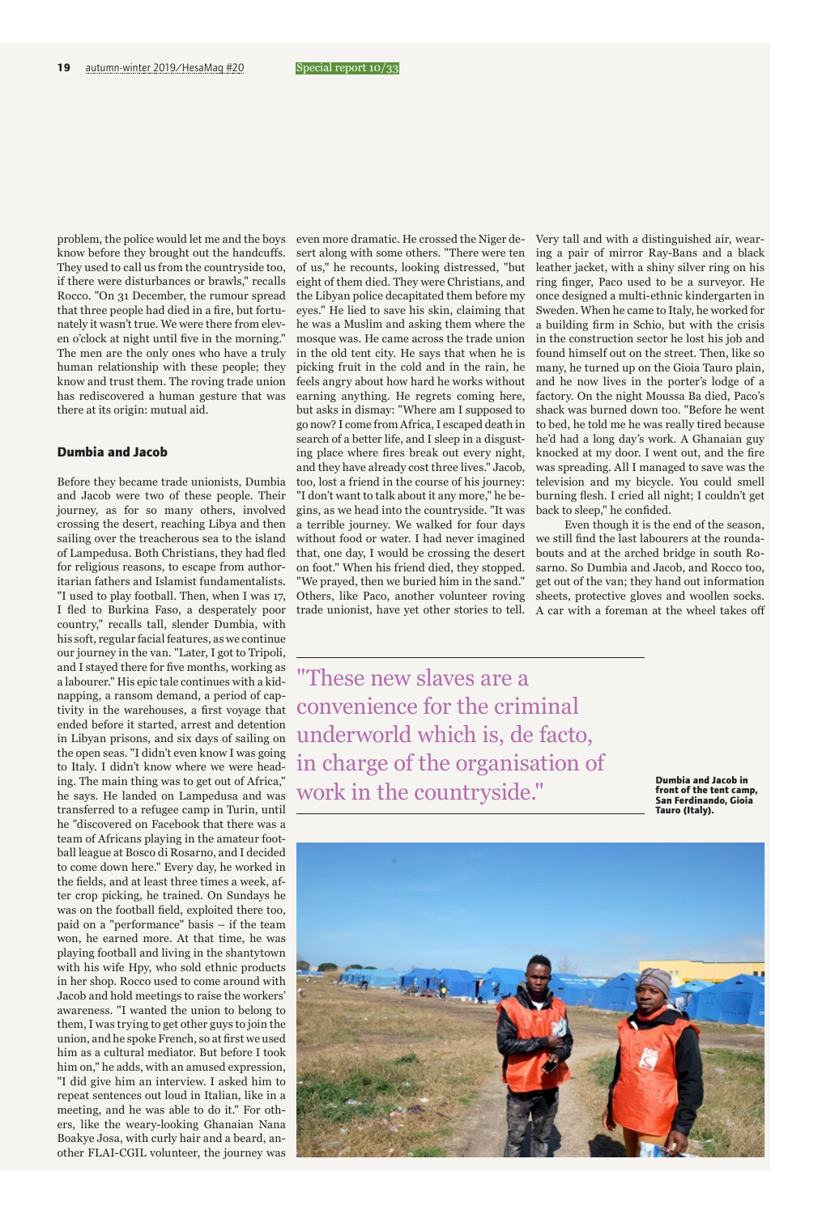problem, the police would let me and the boys know before they brought out the handcuffs. They used to call us from the countryside too, if there were disturbances or brawls," recalls Rocco. "On 31 December, the rumour spread that three people had died in a fire, but fortunately it wasn't true. We were there from eleven o'clock at night until five in the morning." The men are the only ones who have a truly human relationship with these people; they know and trust them. The roving trade union has rediscovered a human gesture that was there at its origin: mutual aid.

#### **Dumbia and Jacob**

Before they became trade unionists, Dumbia and Jacob were two of these people. Their journey, as for so many others, involved crossing the desert, reaching Libya and then sailing over the treacherous sea to the island of Lampedusa. Both Christians, they had fled for religious reasons, to escape from authoritarian fathers and Islamist fundamentalists. "I used to play football. Then, when I was 17, I fled to Burkina Faso, a desperately poor country," recalls tall, slender Dumbia, with his soft, regular facial features, as we continue our journey in the van. "Later, I got to Tripoli, and I stayed there for five months, working as a labourer." His epic tale continues with a kidnapping, a ransom demand, a period of captivity in the warehouses, a first voyage that ended before it started, arrest and detention in Libyan prisons, and six days of sailing on the open seas. "I didn't even know I was going to Italy. I didn't know where we were heading. The main thing was to get out of Africa," he says. He landed on Lampedusa and was transferred to a refugee camp in Turin, until he "discovered on Facebook that there was a team of Africans playing in the amateur football league at Bosco di Rosarno, and I decided to come down here." Every day, he worked in the fields, and at least three times a week, after crop picking, he trained. On Sundays he was on the football field, exploited there too, paid on a "performance" basis – if the team won, he earned more. At that time, he was playing football and living in the shantytown with his wife Hpy, who sold ethnic products in her shop. Rocco used to come around with Jacob and hold meetings to raise the workers' awareness. "I wanted the union to belong to them, I was trying to get other guys to join the union, and he spoke French, so at first we used him as a cultural mediator. But before I took him on," he adds, with an amused expression, "I did give him an interview. I asked him to repeat sentences out loud in Italian, like in a meeting, and he was able to do it." For others, like the weary-looking Ghanaian Nana Boakye Josa, with curly hair and a beard, another FLAI-CGIL volunteer, the journey was even more dramatic. He crossed the Niger desert along with some others. "There were ten of us," he recounts, looking distressed, "but eight of them died. They were Christians, and the Libyan police decapitated them before my eyes." He lied to save his skin, claiming that he was a Muslim and asking them where the mosque was. He came across the trade union in the old tent city. He says that when he is picking fruit in the cold and in the rain, he feels angry about how hard he works without earning anything. He regrets coming here, but asks in dismay: "Where am I supposed to go now? I come from Africa, I escaped death in search of a better life, and I sleep in a disgusting place where fires break out every night, and they have already cost three lives." Jacob, too, lost a friend in the course of his journey: "I don't want to talk about it any more," he begins, as we head into the countryside. "It was a terrible journey. We walked for four days without food or water. I had never imagined that, one day, I would be crossing the desert on foot." When his friend died, they stopped. "We prayed, then we buried him in the sand." Others, like Paco, another volunteer roving trade unionist, have yet other stories to tell.

Very tall and with a distinguished air, wearing a pair of mirror Ray-Bans and a black leather jacket, with a shiny silver ring on his ring finger, Paco used to be a surveyor. He once designed a multi-ethnic kindergarten in Sweden. When he came to Italy, he worked for a building firm in Schio, but with the crisis in the construction sector he lost his job and found himself out on the street. Then, like so many, he turned up on the Gioia Tauro plain, and he now lives in the porter's lodge of a factory. On the night Moussa Ba died, Paco's shack was burned down too. "Before he went to bed, he told me he was really tired because he'd had a long day's work. A Ghanaian guy knocked at my door. I went out, and the fire was spreading. All I managed to save was the television and my bicycle. You could smell burning flesh. I cried all night; I couldn't get back to sleep," he confided.

Even though it is the end of the season, we still find the last labourers at the roundabouts and at the arched bridge in south Rosarno. So Dumbia and Jacob, and Rocco too, get out of the van; they hand out information sheets, protective gloves and woollen socks. A car with a foreman at the wheel takes off

"These new slaves are a convenience for the criminal underworld which is, de facto, in charge of the organisation of work in the countryside."

**Dumbia and Jacob in front of the tent camp, San Ferdinando, Gioia Tauro (Italy).**

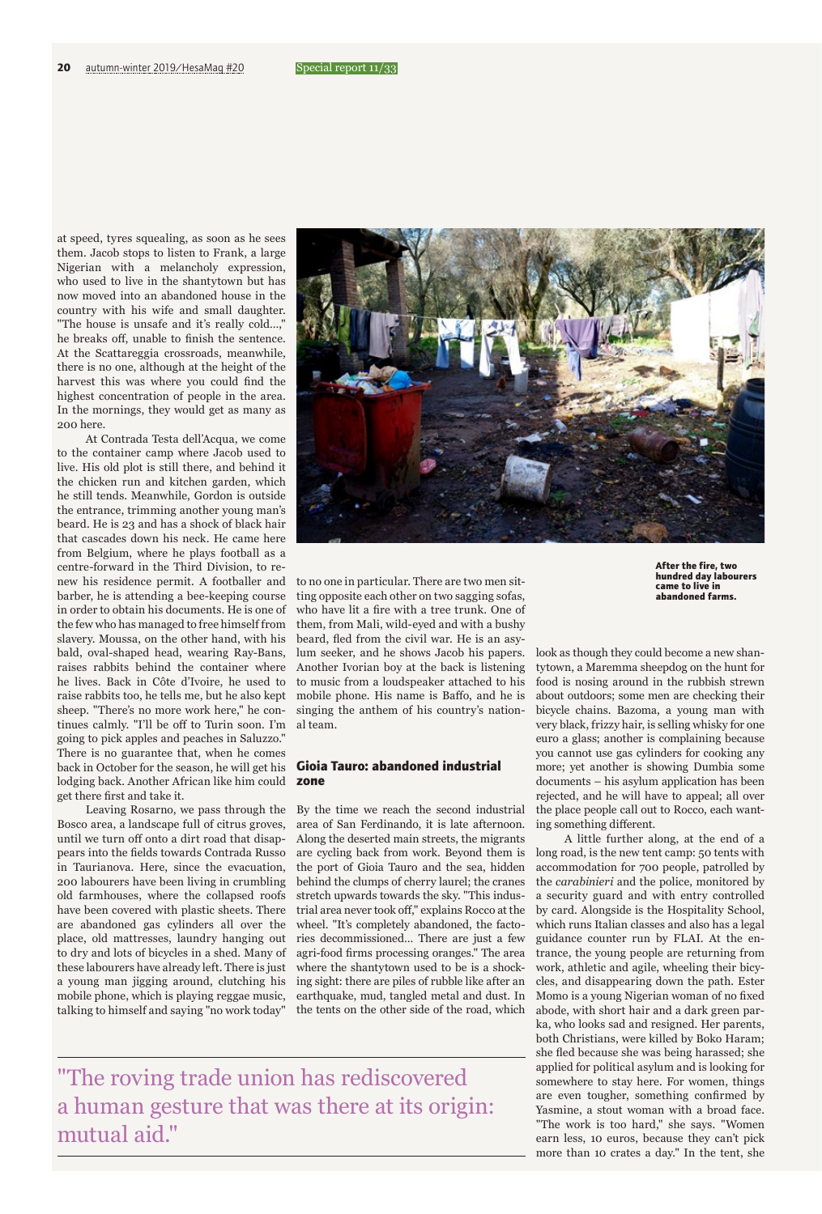at speed, tyres squealing, as soon as he sees them. Jacob stops to listen to Frank, a large Nigerian with a melancholy expression, who used to live in the shantytown but has now moved into an abandoned house in the country with his wife and small daughter. "The house is unsafe and it's really cold…," he breaks off, unable to finish the sentence. At the Scattareggia crossroads, meanwhile, there is no one, although at the height of the harvest this was where you could find the highest concentration of people in the area. In the mornings, they would get as many as 200 here.

At Contrada Testa dell'Acqua, we come to the container camp where Jacob used to live. His old plot is still there, and behind it the chicken run and kitchen garden, which he still tends. Meanwhile, Gordon is outside the entrance, trimming another young man's beard. He is 23 and has a shock of black hair that cascades down his neck. He came here from Belgium, where he plays football as a centre-forward in the Third Division, to renew his residence permit. A footballer and barber, he is attending a bee-keeping course in order to obtain his documents. He is one of the few who has managed to free himself from slavery. Moussa, on the other hand, with his bald, oval-shaped head, wearing Ray-Bans, raises rabbits behind the container where he lives. Back in Côte d'Ivoire, he used to raise rabbits too, he tells me, but he also kept sheep. "There's no more work here," he continues calmly. "I'll be off to Turin soon. I'm going to pick apples and peaches in Saluzzo." There is no guarantee that, when he comes back in October for the season, he will get his lodging back. Another African like him could get there first and take it.

Leaving Rosarno, we pass through the Bosco area, a landscape full of citrus groves, until we turn off onto a dirt road that disappears into the fields towards Contrada Russo in Taurianova. Here, since the evacuation, 200 labourers have been living in crumbling old farmhouses, where the collapsed roofs have been covered with plastic sheets. There are abandoned gas cylinders all over the place, old mattresses, laundry hanging out to dry and lots of bicycles in a shed. Many of these labourers have already left. There is just a young man jigging around, clutching his mobile phone, which is playing reggae music, talking to himself and saying "no work today"



**After the fire, two hundred day labourers came to live in abandoned farms.** 

to no one in particular. There are two men sitting opposite each other on two sagging sofas, who have lit a fire with a tree trunk. One of them, from Mali, wild-eyed and with a bushy beard, fled from the civil war. He is an asylum seeker, and he shows Jacob his papers. Another Ivorian boy at the back is listening to music from a loudspeaker attached to his mobile phone. His name is Baffo, and he is singing the anthem of his country's national team.

# **Gioia Tauro: abandoned industrial zone**

By the time we reach the second industrial area of San Ferdinando, it is late afternoon. Along the deserted main streets, the migrants are cycling back from work. Beyond them is the port of Gioia Tauro and the sea, hidden behind the clumps of cherry laurel; the cranes stretch upwards towards the sky. "This industrial area never took off," explains Rocco at the wheel. "It's completely abandoned, the factories decommissioned… There are just a few agri-food firms processing oranges." The area where the shantytown used to be is a shocking sight: there are piles of rubble like after an earthquake, mud, tangled metal and dust. In the tents on the other side of the road, which

look as though they could become a new shantytown, a Maremma sheepdog on the hunt for food is nosing around in the rubbish strewn about outdoors; some men are checking their bicycle chains. Bazoma, a young man with very black, frizzy hair, is selling whisky for one euro a glass; another is complaining because you cannot use gas cylinders for cooking any more; yet another is showing Dumbia some documents – his asylum application has been rejected, and he will have to appeal; all over the place people call out to Rocco, each wanting something different.

A little further along, at the end of a long road, is the new tent camp: 50 tents with accommodation for 700 people, patrolled by the *carabinieri* and the police, monitored by a security guard and with entry controlled by card. Alongside is the Hospitality School, which runs Italian classes and also has a legal guidance counter run by FLAI. At the entrance, the young people are returning from work, athletic and agile, wheeling their bicycles, and disappearing down the path. Ester Momo is a young Nigerian woman of no fixed abode, with short hair and a dark green parka, who looks sad and resigned. Her parents, both Christians, were killed by Boko Haram; she fled because she was being harassed; she applied for political asylum and is looking for somewhere to stay here. For women, things are even tougher, something confirmed by Yasmine, a stout woman with a broad face. "The work is too hard," she says. "Women earn less, 10 euros, because they can't pick more than 10 crates a day." In the tent, she

"The roving trade union has rediscovered a human gesture that was there at its origin: mutual aid."